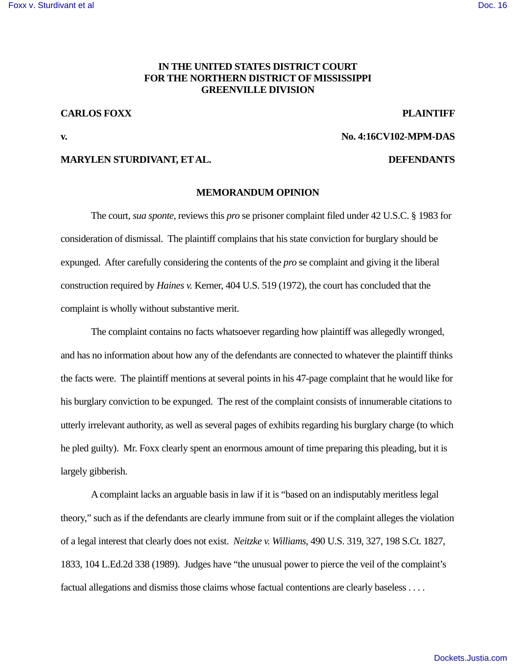### **IN THE UNITED STATES DISTRICT COURT FOR THE NORTHERN DISTRICT OF MISSISSIPPI GREENVILLE DIVISION**

## **CARLOS FOXX PLAINTIFF**

### **v. No. 4:16CV102-MPM-DAS**

#### **MARYLEN STURDIVANT, ET AL. DEFENDANTS**

#### **MEMORANDUM OPINION**

 The court, *sua sponte*, reviews this *pro* se prisoner complaint filed under 42 U.S.C. § 1983 for consideration of dismissal. The plaintiff complains that his state conviction for burglary should be expunged. After carefully considering the contents of the *pro* se complaint and giving it the liberal construction required by *Haines v.* Kerner, 404 U.S. 519 (1972), the court has concluded that the complaint is wholly without substantive merit.

 The complaint contains no facts whatsoever regarding how plaintiff was allegedly wronged, and has no information about how any of the defendants are connected to whatever the plaintiff thinks the facts were. The plaintiff mentions at several points in his 47-page complaint that he would like for his burglary conviction to be expunged. The rest of the complaint consists of innumerable citations to utterly irrelevant authority, as well as several pages of exhibits regarding his burglary charge (to which he pled guilty). Mr. Foxx clearly spent an enormous amount of time preparing this pleading, but it is largely gibberish.

 A complaint lacks an arguable basis in law if it is "based on an indisputably meritless legal theory," such as if the defendants are clearly immune from suit or if the complaint alleges the violation of a legal interest that clearly does not exist. *Neitzke v. Williams*, 490 U.S. 319, 327, 198 S.Ct. 1827, 1833, 104 L.Ed.2d 338 (1989). Judges have "the unusual power to pierce the veil of the complaint's factual allegations and dismiss those claims whose factual contentions are clearly baseless . . . .